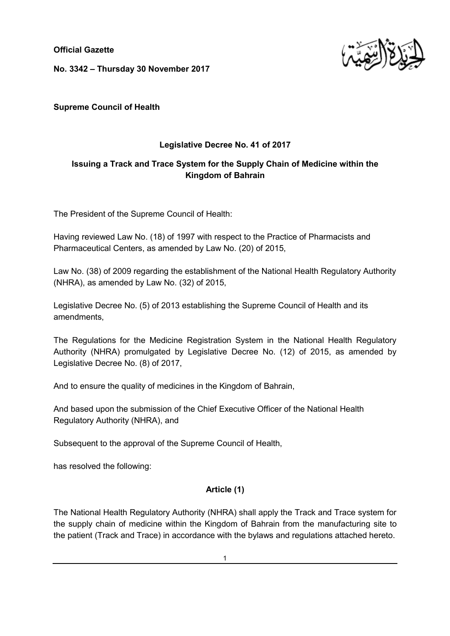**Official Gazette**

**No. 3342 – Thursday 30 November 2017**



**Supreme Council of Health**

## **Legislative Decree No. 41 of 2017**

# **Issuing a Track and Trace System for the Supply Chain of Medicine within the Kingdom of Bahrain**

The President of the Supreme Council of Health:

Having reviewed Law No. (18) of 1997 with respect to the Practice of Pharmacists and Pharmaceutical Centers, as amended by Law No. (20) of 2015,

Law No. (38) of 2009 regarding the establishment of the National Health Regulatory Authority (NHRA), as amended by Law No. (32) of 2015,

Legislative Decree No. (5) of 2013 establishing the Supreme Council of Health and its amendments,

The Regulations for the Medicine Registration System in the National Health Regulatory Authority (NHRA) promulgated by Legislative Decree No. (12) of 2015, as amended by Legislative Decree No. (8) of 2017,

And to ensure the quality of medicines in the Kingdom of Bahrain,

And based upon the submission of the Chief Executive Officer of the National Health Regulatory Authority (NHRA), and

Subsequent to the approval of the Supreme Council of Health,

has resolved the following:

## **Article (1)**

The National Health Regulatory Authority (NHRA) shall apply the Track and Trace system for the supply chain of medicine within the Kingdom of Bahrain from the manufacturing site to the patient (Track and Trace) in accordance with the bylaws and regulations attached hereto.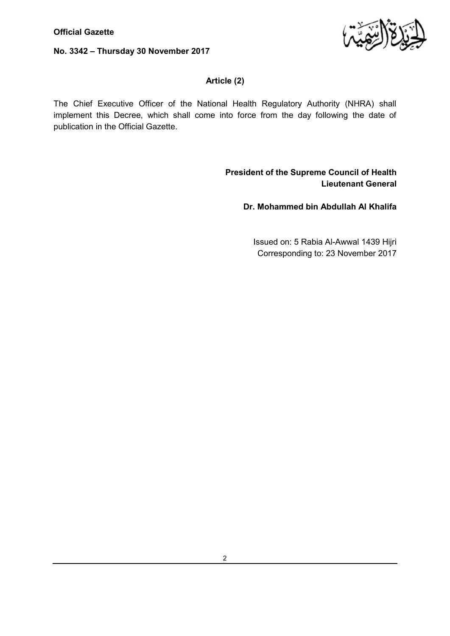#### **No. 3342 – Thursday 30 November 2017**



#### **Article (2)**

The Chief Executive Officer of the National Health Regulatory Authority (NHRA) shall implement this Decree, which shall come into force from the day following the date of publication in the Official Gazette.

> **President of the Supreme Council of Health Lieutenant General**

> > **Dr. Mohammed bin Abdullah Al Khalifa**

Issued on: 5 Rabia Al-Awwal 1439 Hijri Corresponding to: 23 November 2017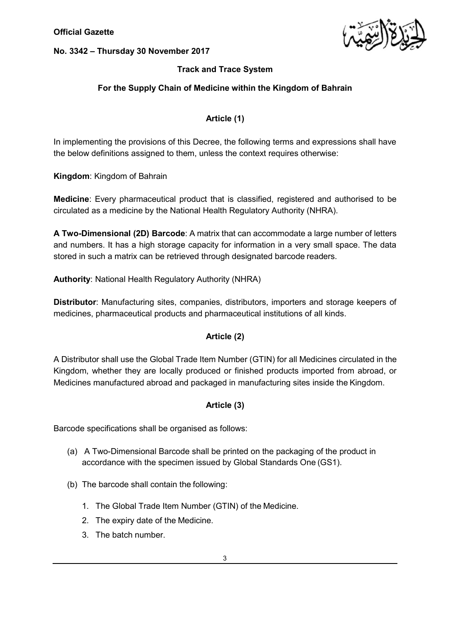## **No. 3342 – Thursday 30 November 2017**



## **Track and Trace System**

#### **For the Supply Chain of Medicine within the Kingdom of Bahrain**

## **Article (1)**

In implementing the provisions of this Decree, the following terms and expressions shall have the below definitions assigned to them, unless the context requires otherwise:

**Kingdom**: Kingdom of Bahrain

**Medicine**: Every pharmaceutical product that is classified, registered and authorised to be circulated as a medicine by the National Health Regulatory Authority (NHRA).

**A Two-Dimensional (2D) Barcode**: A matrix that can accommodate a large number of letters and numbers. It has a high storage capacity for information in a very small space. The data stored in such a matrix can be retrieved through designated barcode readers.

**Authority**: National Health Regulatory Authority (NHRA)

**Distributor**: Manufacturing sites, companies, distributors, importers and storage keepers of medicines, pharmaceutical products and pharmaceutical institutions of all kinds.

## **Article (2)**

A Distributor shall use the Global Trade Item Number (GTIN) for all Medicines circulated in the Kingdom, whether they are locally produced or finished products imported from abroad, or Medicines manufactured abroad and packaged in manufacturing sites inside the Kingdom.

#### **Article (3)**

Barcode specifications shall be organised as follows:

- (a) A Two-Dimensional Barcode shall be printed on the packaging of the product in accordance with the specimen issued by Global Standards One (GS1).
- (b) The barcode shall contain the following:
	- 1. The Global Trade Item Number (GTIN) of the Medicine.
	- 2. The expiry date of the Medicine.
	- 3. The batch number.